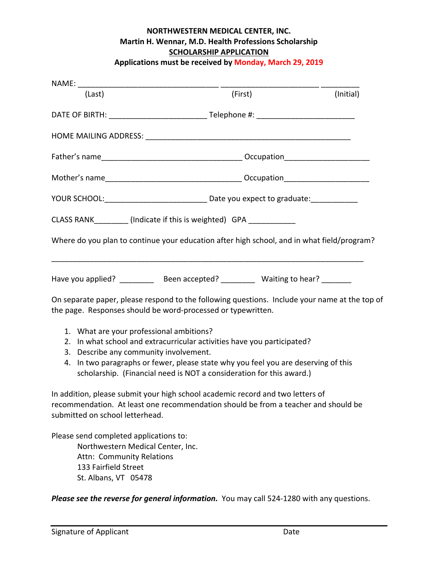## **NORTHWESTERN MEDICAL CENTER, INC. Martin H. Wennar, M.D. Health Professions Scholarship SCHOLARSHIP APPLICATION**

**Applications must be received by Monday, March 29, 2019**

| (Last)                                                                                                                           | (First)                                                                                                                                                              | (Initial) |
|----------------------------------------------------------------------------------------------------------------------------------|----------------------------------------------------------------------------------------------------------------------------------------------------------------------|-----------|
|                                                                                                                                  | DATE OF BIRTH: ________________________________Telephone #: _____________________                                                                                    |           |
|                                                                                                                                  |                                                                                                                                                                      |           |
|                                                                                                                                  |                                                                                                                                                                      |           |
|                                                                                                                                  |                                                                                                                                                                      |           |
|                                                                                                                                  |                                                                                                                                                                      |           |
|                                                                                                                                  | CLASS RANK__________ (Indicate if this is weighted) GPA ____________                                                                                                 |           |
|                                                                                                                                  | Where do you plan to continue your education after high school, and in what field/program?                                                                           |           |
|                                                                                                                                  | Have you applied? ____________ Been accepted? ___________ Waiting to hear? _______                                                                                   |           |
| the page. Responses should be word-processed or typewritten.                                                                     | On separate paper, please respond to the following questions. Include your name at the top of                                                                        |           |
| 1. What are your professional ambitions?<br>2.<br>Describe any community involvement.<br>3.<br>4.                                | In what school and extracurricular activities have you participated?<br>In two paragraphs or fewer, please state why you feel you are deserving of this              |           |
|                                                                                                                                  | scholarship. (Financial need is NOT a consideration for this award.)                                                                                                 |           |
| submitted on school letterhead.                                                                                                  | In addition, please submit your high school academic record and two letters of<br>recommendation. At least one recommendation should be from a teacher and should be |           |
| Please send completed applications to:<br>Northwestern Medical Center, Inc.<br>Attn: Community Relations<br>133 Fairfield Street |                                                                                                                                                                      |           |

St. Albans, VT 05478

*Please see the reverse for general information.* You may call 524‐1280 with any questions.